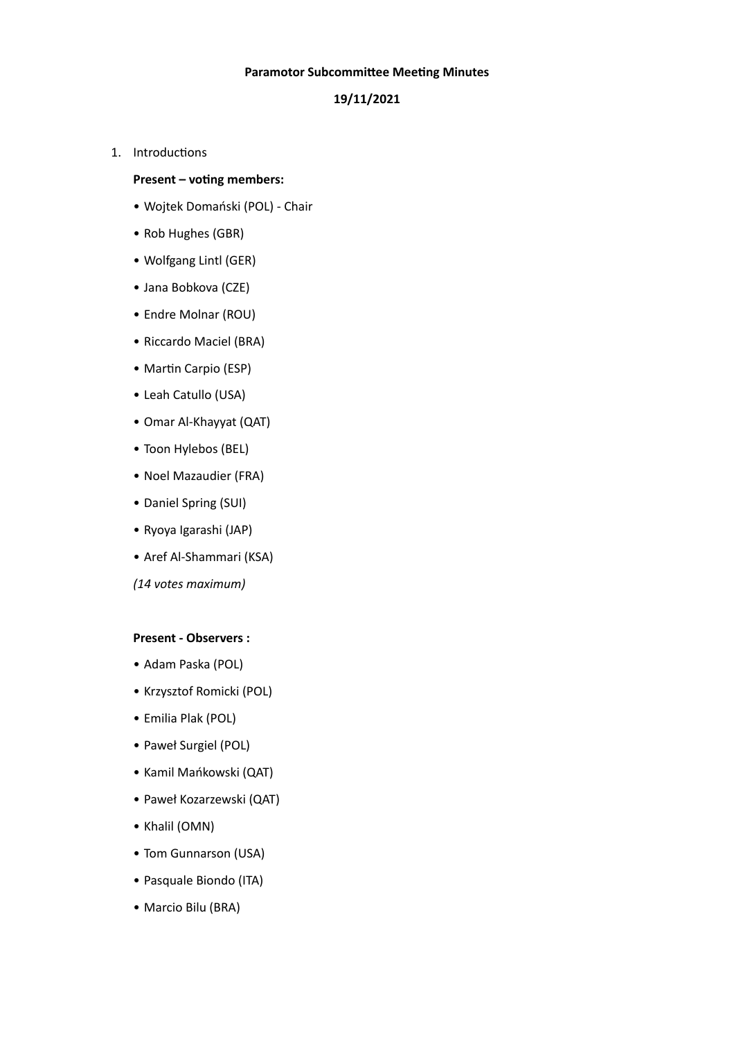#### **Paramotor Subcommittee Meeting Minutes**

# **19/11/2021**

1. Introductions

## **Present – voting members:**

- Wojtek Domański (POL) Chair
- Rob Hughes (GBR)
- Wolfgang Lintl (GER)
- Jana Bobkova (CZE)
- Endre Molnar (ROU)
- Riccardo Maciel (BRA)
- Martin Carpio (ESP)
- Leah Catullo (USA)
- Omar Al-Khayyat (QAT)
- Toon Hylebos (BEL)
- Noel Mazaudier (FRA)
- Daniel Spring (SUI)
- Ryoya Igarashi (JAP)
- Aref Al-Shammari (KSA)

*(14 votes maximum)*

#### **Present - Observers :**

- Adam Paska (POL)
- Krzysztof Romicki (POL)
- Emilia Plak (POL)
- Paweł Surgiel (POL)
- Kamil Mańkowski (QAT)
- Paweł Kozarzewski (QAT)
- Khalil (OMN)
- Tom Gunnarson (USA)
- Pasquale Biondo (ITA)
- Marcio Bilu (BRA)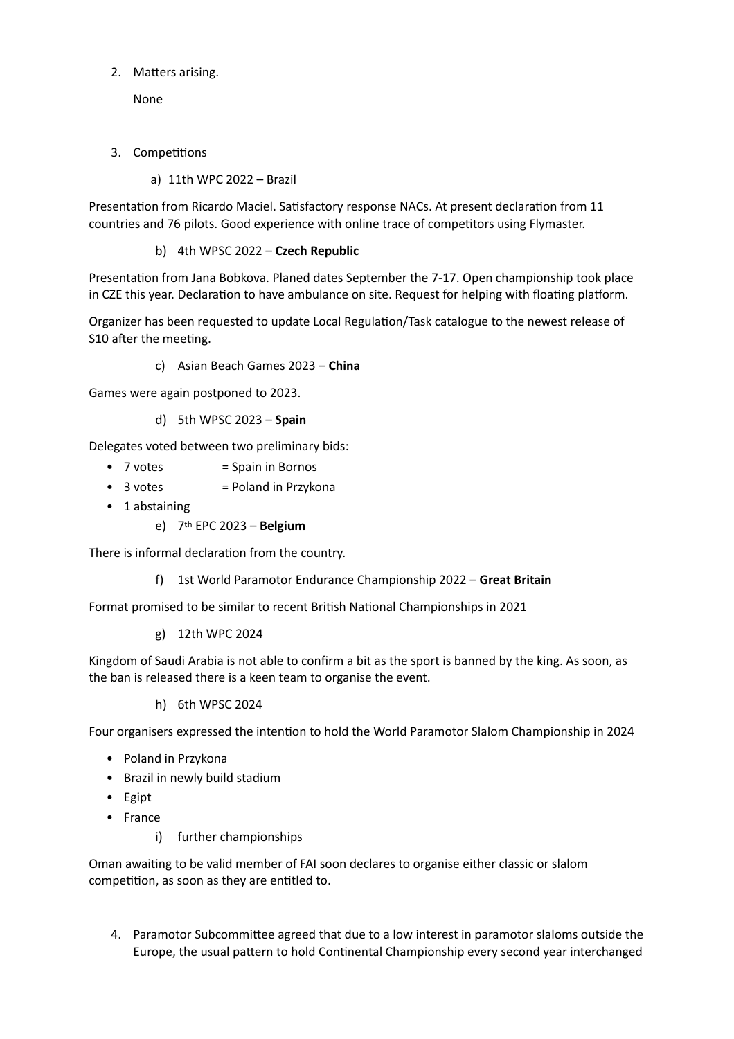2. Matters arising.

None

- 3. Competitions
	- a) 11th WPC 2022 Brazil

Presentation from Ricardo Maciel. Satisfactory response NACs. At present declaration from 11 countries and 76 pilots. Good experience with online trace of competitors using Flymaster.

b) 4th WPSC 2022 – **Czech Republic**

Presentation from Jana Bobkova. Planed dates September the 7-17. Open championship took place in CZE this year. Declaration to have ambulance on site. Request for helping with floating platform.

Organizer has been requested to update Local Regulation/Task catalogue to the newest release of S10 after the meeting.

c) Asian Beach Games 2023 – **China**

Games were again postponed to 2023.

d) 5th WPSC 2023 – **Spain**

Delegates voted between two preliminary bids:

- $\bullet$  7 votes  $=$  Spain in Bornos
- $\bullet$  3 votes  $=$  Poland in Przykona
- 1 abstaining
	- e) 7th EPC 2023 **Belgium**

There is informal declaration from the country.

f) 1st World Paramotor Endurance Championship 2022 – **Great Britain**

Format promised to be similar to recent British National Championships in 2021

g) 12th WPC 2024

Kingdom of Saudi Arabia is not able to confirm a bit as the sport is banned by the king. As soon, as the ban is released there is a keen team to organise the event.

h) 6th WPSC 2024

Four organisers expressed the intention to hold the World Paramotor Slalom Championship in 2024

- Poland in Przykona
- Brazil in newly build stadium
- Egipt
- France
	- i) further championships

Oman awaiting to be valid member of FAI soon declares to organise either classic or slalom competition, as soon as they are entitled to.

4. Paramotor Subcommittee agreed that due to a low interest in paramotor slaloms outside the Europe, the usual pattern to hold Continental Championship every second year interchanged